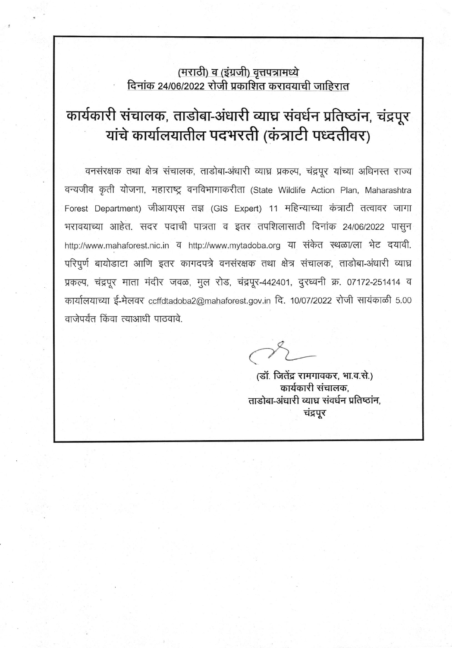### (मराठी) व (इंग्रजी) वृत्तपत्रामध्ये दिनांक 24/06/2022 रोजी प्रकाशित करावयाची जाहिरात

# कार्यकारी संचालक, ताडोबा-अंधारी व्याघ्र संवर्धन प्रतिष्ठांन, चंद्रपूर यांचे कार्यालयातील पदभरती (कंत्राटी पध्दतीवर)

वनसंरक्षक तथा क्षेत्र संचालक, ताडोबा-अंधारी व्याघ्र प्रकल्प, चंद्रपूर यांच्या अधिनस्त राज्य वन्यजीव कृती योजना, महाराष्ट्र वनविभागाकरीता (State Wildlife Action Plan, Maharashtra Forest Department) जीआयएस तज्ञ (GIS Expert) 11 महिन्याच्या कंत्राटी तत्वावर जागा भरावयाच्या आहेत. सदर पदाची पात्रता व इतर तपशिलासाठी दिनांक 24/06/2022 पासुन http://www.mahaforest.nic.in व http://www.mytadoba.org या संकेत स्थला/ला भेट दयावी. परिपूर्ण बायोडाटा आणि इतर कागदपत्रे वनसंरक्षक तथा क्षेत्र संचालक, ताडोबा-अंधारी व्याघ्र प्रकल्प, चंद्रपूर माता मंदीर जवळ, मुल रोड, चंद्रपूर-442401, दुरध्वनी क्र. 07172-251414 व कार्यालयाच्या ई-मेलवर ccffdtadoba2@mahaforest.gov.in दि. 10/07/2022 रोजी सायंकाळी 5.00 वाजेपर्यंत किंवा त्याआधी पाठवावे.

(डॉ. जितेंद्र रामगावकर, भा.व.से.) कार्यकारी संचालक. ताडोबा-अंधारी व्याघ्र संवर्धन प्रतिष्ठांन. चंद्रपूर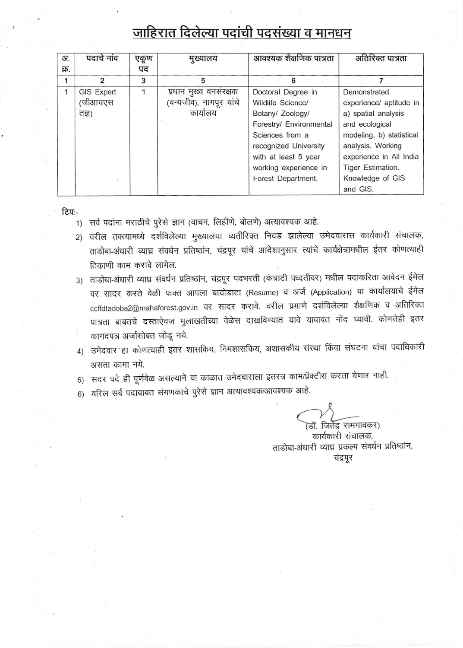## जाहिरात दिलेल्या पदांची पदसंख्या व मानधन

| अ.           | पदाचे नांव | एकूण | मुख्यालय                | आवश्यक शैक्षणिक पात्रता | अतिरिक्त पात्रता         |  |
|--------------|------------|------|-------------------------|-------------------------|--------------------------|--|
| क्र.         |            | पद   |                         |                         |                          |  |
|              | 2          | 3    | 5                       | 6                       |                          |  |
| $\mathbf{1}$ | GIS Expert |      | प्रधान मुख्य वनसंरक्षक  | Doctoral Degree in      | Demonstrated             |  |
|              | (जीआयएस    |      | (वन्यजीव), नागपूर यांचे | Wildlife Science/       | experience/ aptitude in  |  |
|              | নহ্বা)     |      | कार्यालय                | Botany/ Zoology/        | a) spatial analysis      |  |
|              |            |      |                         | Forestry/ Environmental | and ecological           |  |
|              |            |      |                         | Sciences from a         | modeling, b) statistical |  |
|              |            |      |                         | recognized University   | analysis. Working        |  |
|              |            |      |                         | with at least 5 year    | experience in All India  |  |
|              |            |      |                         | working experience in   | Tiger Estimation.        |  |
|              |            |      |                         | Forest Department.      | Knowledge of GIS         |  |
|              |            |      |                         |                         | and GIS.                 |  |

ਟਿਧ:-

- 1) सर्व पदांना मराठीचे पुरेसे ज्ञान (वाचन, लिहीणे, बोलणे) अत्यावश्यक आहे.
- 2) वरील तक्त्यामध्ये दर्शविलेल्या मुख्यालया व्यतीरिक्त निवड झालेल्या उमेदवारास कार्यकारी संचालक, ताडोबा-अंधारी व्याघ्र संवर्धन प्रतिष्ठांन, चंद्रपूर यांचे आदेशानुसार त्यांचे कार्यक्षेत्रामधील ईतर कोणत्याही ठिकाणी काम करावे लागेल.
- 3) ताडोबा-अंधारी व्याघ्न संवर्धन प्रतिष्ठांन, चंद्रपूर पदभरती (कंत्राटी पध्दतीवर) मधील पदाकरिता आवेदन ईमेल वर सादर करते वेळी फक्त आपला बायोडाटा (Resume) व अर्ज (Application) या कार्यालयाचे ईमेल ccffdtadoba2@mahaforest.gov.in वर सादर करावे. वरील प्रमाणे दर्शविलेल्या शैक्षणिक व अतिरिक्त पात्रता बाबतचे दस्ताऐवज मुलाखतीच्या वेळेस दाखविण्यात यावे याबाबत नोंद घ्यावी. कोणतेही इतर कागदपत्र अर्जासोबत जोडू नये.
- 4) उमेदवार हा कोणत्याही इतर शासकिय, निमशासकिय, अशासकीय संस्था किंवा संघटना यांचा पदाधिकारी असता कामा नये.
- 5) सदर पदे ही पूर्णवेळ असल्याने या काळात उमेदवाराला इतरत्र काम/प्रॅक्टीस करता येणार नाही.
- 6) वरिल सर्व पदाबाबत संगणकाचे पुरेसे ज्ञान अत्यावश्यक/आवश्यक आहे.

'डॉ. जिर्तेद्र रामगावकर) कार्यकारी संचालक, ताडोबा-अंधारी व्याघ्र प्रकल्प संवर्धन प्रतिष्ठांन, चंद्रपूर